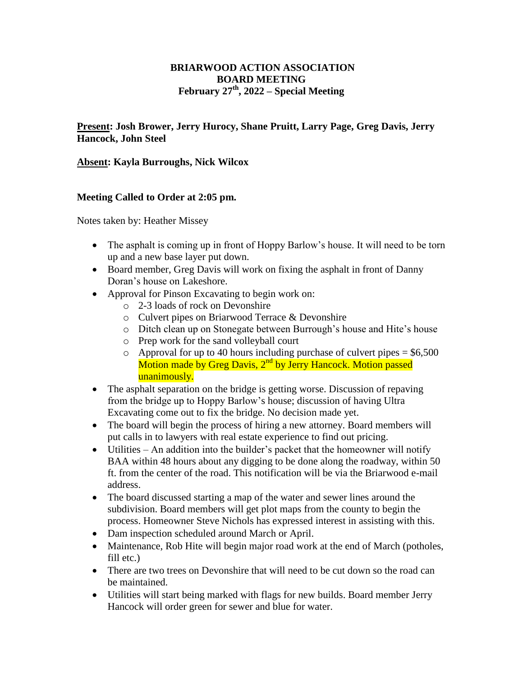## **BRIARWOOD ACTION ASSOCIATION BOARD MEETING February 27th, 2022 – Special Meeting**

**Present: Josh Brower, Jerry Hurocy, Shane Pruitt, Larry Page, Greg Davis, Jerry Hancock, John Steel**

## **Absent: Kayla Burroughs, Nick Wilcox**

## **Meeting Called to Order at 2:05 pm.**

Notes taken by: Heather Missey

- The asphalt is coming up in front of Hoppy Barlow's house. It will need to be torn up and a new base layer put down.
- Board member, Greg Davis will work on fixing the asphalt in front of Danny Doran's house on Lakeshore.
- Approval for Pinson Excavating to begin work on:
	- o 2-3 loads of rock on Devonshire
	- o Culvert pipes on Briarwood Terrace & Devonshire
	- o Ditch clean up on Stonegate between Burrough's house and Hite's house
	- o Prep work for the sand volleyball court
	- $\circ$  Approval for up to 40 hours including purchase of culvert pipes = \$6,500 Motion made by Greg Davis,  $2<sup>nd</sup>$  by Jerry Hancock. Motion passed unanimously.
- The asphalt separation on the bridge is getting worse. Discussion of repaving from the bridge up to Hoppy Barlow's house; discussion of having Ultra Excavating come out to fix the bridge. No decision made yet.
- The board will begin the process of hiring a new attorney. Board members will put calls in to lawyers with real estate experience to find out pricing.
- Utilities An addition into the builder's packet that the homeowner will notify BAA within 48 hours about any digging to be done along the roadway, within 50 ft. from the center of the road. This notification will be via the Briarwood e-mail address.
- The board discussed starting a map of the water and sewer lines around the subdivision. Board members will get plot maps from the county to begin the process. Homeowner Steve Nichols has expressed interest in assisting with this.
- Dam inspection scheduled around March or April.
- Maintenance, Rob Hite will begin major road work at the end of March (potholes, fill etc.)
- There are two trees on Devonshire that will need to be cut down so the road can be maintained.
- Utilities will start being marked with flags for new builds. Board member Jerry Hancock will order green for sewer and blue for water.